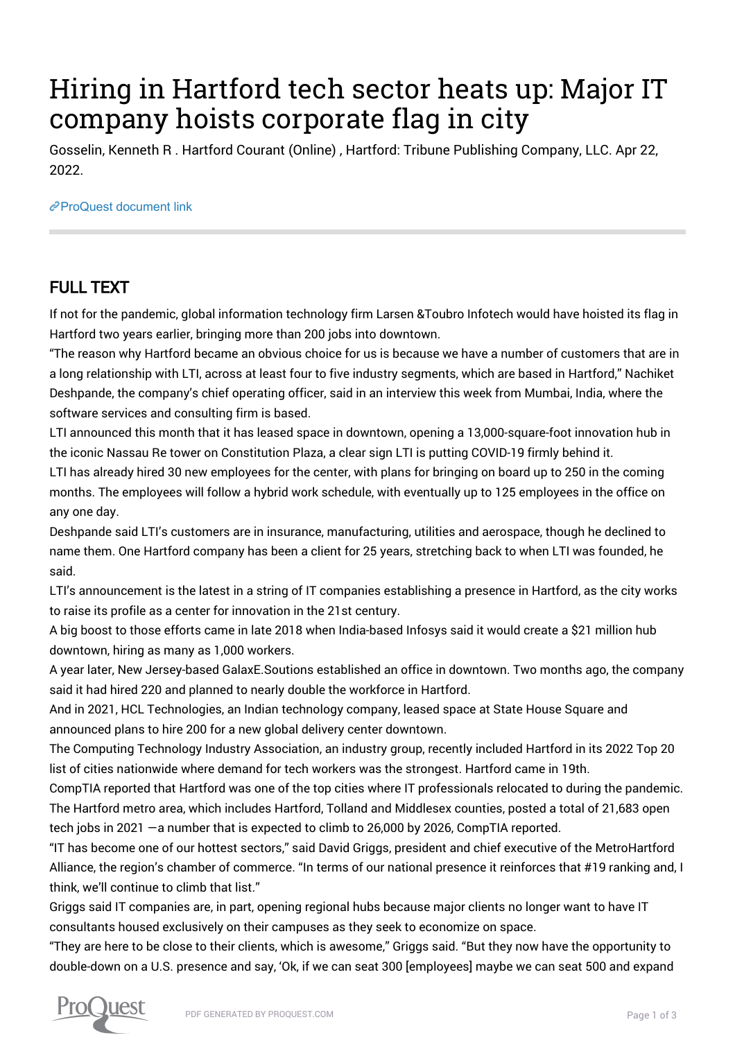## Hiring in Hartford tech sector heats up: Major IT company hoists corporate flag in city

Gosselin, Kenneth R . Hartford Courant (Online) , Hartford: Tribune Publishing Company, LLC. Apr 22, 2022.

[ProQuest document link](https://www.proquest.com/blogs-podcasts-websites/hiring-hartford-tech-sector-heats-up-major/docview/2653409551/se-2?accountid=44910)

## FULL TEXT

If not for the pandemic, global information technology firm Larsen &Toubro Infotech would have hoisted its flag in Hartford two years earlier, bringing more than 200 jobs into downtown.

"The reason why Hartford became an obvious choice for us is because we have a number of customers that are in a long relationship with LTI, across at least four to five industry segments, which are based in Hartford," Nachiket Deshpande, the company's chief operating officer, said in an interview this week from Mumbai, India, where the software services and consulting firm is based.

LTI announced this month that it has leased space in downtown, opening a 13,000-square-foot innovation hub in the iconic Nassau Re tower on Constitution Plaza, a clear sign LTI is putting COVID-19 firmly behind it.

LTI has already hired 30 new employees for the center, with plans for bringing on board up to 250 in the coming months. The employees will follow a hybrid work schedule, with eventually up to 125 employees in the office on any one day.

Deshpande said LTI's customers are in insurance, manufacturing, utilities and aerospace, though he declined to name them. One Hartford company has been a client for 25 years, stretching back to when LTI was founded, he said.

LTI's announcement is the latest in a string of IT companies establishing a presence in Hartford, as the city works to raise its profile as a center for innovation in the 21st century.

A big boost to those efforts came in late 2018 when India-based Infosys said it would create a \$21 million hub downtown, hiring as many as 1,000 workers.

A year later, New Jersey-based GalaxE.Soutions established an office in downtown. Two months ago, the company said it had hired 220 and planned to nearly double the workforce in Hartford.

And in 2021, HCL Technologies, an Indian technology company, leased space at State House Square and announced plans to hire 200 for a new global delivery center downtown.

The Computing Technology Industry Association, an industry group, recently included Hartford in its 2022 Top 20 list of cities nationwide where demand for tech workers was the strongest. Hartford came in 19th.

CompTIA reported that Hartford was one of the top cities where IT professionals relocated to during the pandemic. The Hartford metro area, which includes Hartford, Tolland and Middlesex counties, posted a total of 21,683 open tech jobs in 2021 —a number that is expected to climb to 26,000 by 2026, CompTIA reported.

"IT has become one of our hottest sectors," said David Griggs, president and chief executive of the MetroHartford Alliance, the region's chamber of commerce. "In terms of our national presence it reinforces that #19 ranking and, I think, we'll continue to climb that list."

Griggs said IT companies are, in part, opening regional hubs because major clients no longer want to have IT consultants housed exclusively on their campuses as they seek to economize on space.

"They are here to be close to their clients, which is awesome," Griggs said. "But they now have the opportunity to double-down on a U.S. presence and say, 'Ok, if we can seat 300 [employees] maybe we can seat 500 and expand

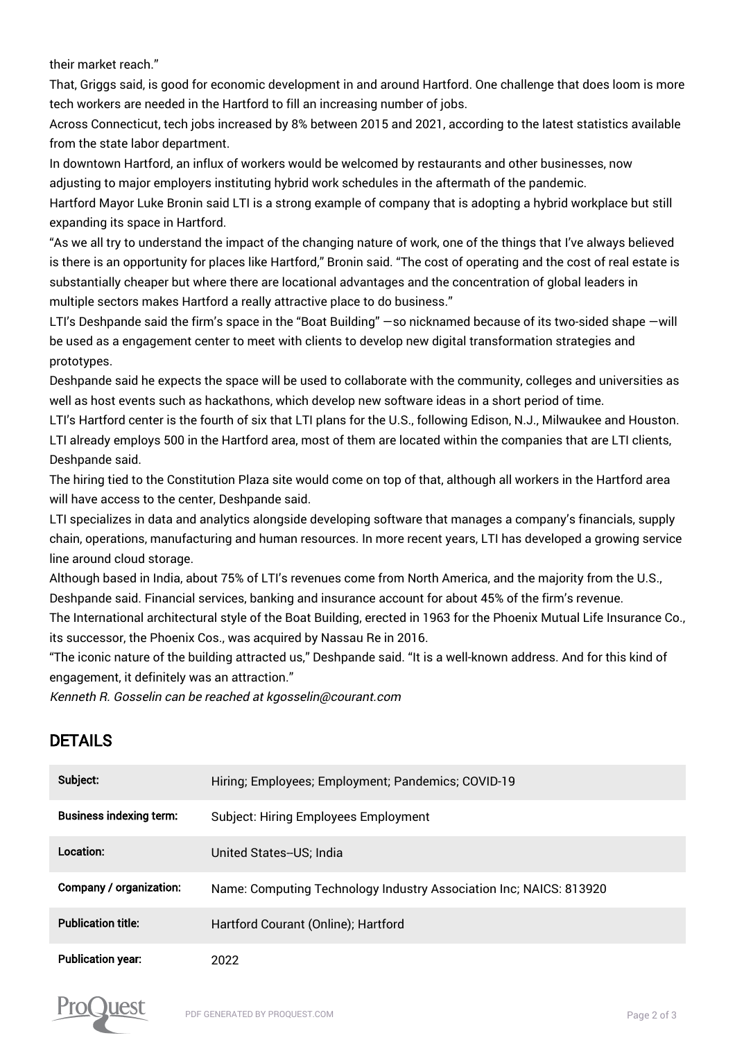their market reach."

That, Griggs said, is good for economic development in and around Hartford. One challenge that does loom is more tech workers are needed in the Hartford to fill an increasing number of jobs.

Across Connecticut, tech jobs increased by 8% between 2015 and 2021, according to the latest statistics available from the state labor department.

In downtown Hartford, an influx of workers would be welcomed by restaurants and other businesses, now adjusting to major employers instituting hybrid work schedules in the aftermath of the pandemic.

Hartford Mayor Luke Bronin said LTI is a strong example of company that is adopting a hybrid workplace but still expanding its space in Hartford.

"As we all try to understand the impact of the changing nature of work, one of the things that I've always believed is there is an opportunity for places like Hartford," Bronin said. "The cost of operating and the cost of real estate is substantially cheaper but where there are locational advantages and the concentration of global leaders in multiple sectors makes Hartford a really attractive place to do business."

LTI's Deshpande said the firm's space in the "Boat Building" —so nicknamed because of its two-sided shape —will be used as a engagement center to meet with clients to develop new digital transformation strategies and prototypes.

Deshpande said he expects the space will be used to collaborate with the community, colleges and universities as well as host events such as hackathons, which develop new software ideas in a short period of time.

LTI's Hartford center is the fourth of six that LTI plans for the U.S., following Edison, N.J., Milwaukee and Houston. LTI already employs 500 in the Hartford area, most of them are located within the companies that are LTI clients, Deshpande said.

The hiring tied to the Constitution Plaza site would come on top of that, although all workers in the Hartford area will have access to the center, Deshpande said.

LTI specializes in data and analytics alongside developing software that manages a company's financials, supply chain, operations, manufacturing and human resources. In more recent years, LTI has developed a growing service line around cloud storage.

Although based in India, about 75% of LTI's revenues come from North America, and the majority from the U.S., Deshpande said. Financial services, banking and insurance account for about 45% of the firm's revenue.

The International architectural style of the Boat Building, erected in 1963 for the Phoenix Mutual Life Insurance Co., its successor, the Phoenix Cos., was acquired by Nassau Re in 2016.

"The iconic nature of the building attracted us," Deshpande said. "It is a well-known address. And for this kind of engagement, it definitely was an attraction."

Kenneth R. Gosselin can be reached at kgosselin@courant.com

## DETAILS

| Subject:                       | Hiring; Employees; Employment; Pandemics; COVID-19                 |
|--------------------------------|--------------------------------------------------------------------|
| <b>Business indexing term:</b> | <b>Subject: Hiring Employees Employment</b>                        |
| Location:                      | United States--US: India                                           |
| Company / organization:        | Name: Computing Technology Industry Association Inc; NAICS: 813920 |
| <b>Publication title:</b>      | Hartford Courant (Online); Hartford                                |
| <b>Publication year:</b>       | 2022                                                               |